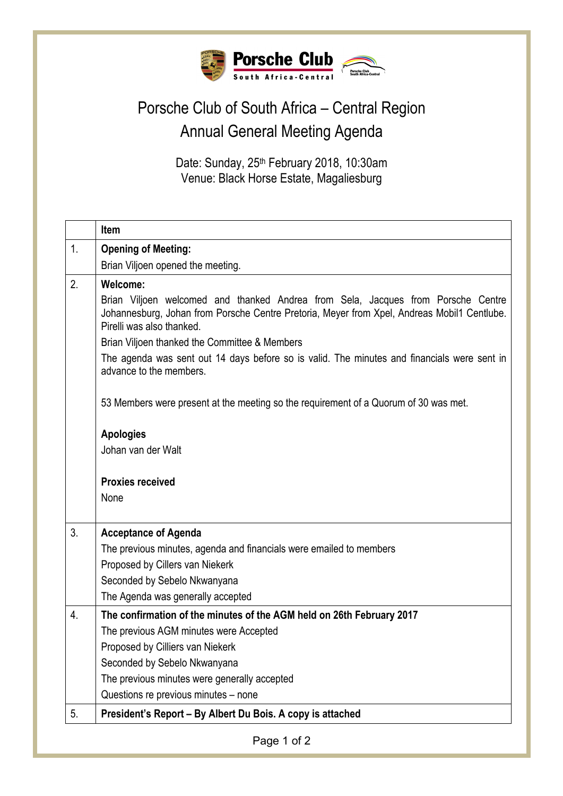

## Porsche Club of South Africa – Central Region Annual General Meeting Agenda

Date: Sunday, 25<sup>th</sup> February 2018, 10:30am Venue: Black Horse Estate, Magaliesburg

|                  | <b>Item</b>                                                                                                                                                                                                  |
|------------------|--------------------------------------------------------------------------------------------------------------------------------------------------------------------------------------------------------------|
| 1.               | <b>Opening of Meeting:</b>                                                                                                                                                                                   |
|                  | Brian Viljoen opened the meeting.                                                                                                                                                                            |
| $\overline{2}$ . | Welcome:                                                                                                                                                                                                     |
|                  | Brian Viljoen welcomed and thanked Andrea from Sela, Jacques from Porsche Centre<br>Johannesburg, Johan from Porsche Centre Pretoria, Meyer from Xpel, Andreas Mobil1 Centlube.<br>Pirelli was also thanked. |
|                  | Brian Viljoen thanked the Committee & Members                                                                                                                                                                |
|                  | The agenda was sent out 14 days before so is valid. The minutes and financials were sent in<br>advance to the members.                                                                                       |
|                  | 53 Members were present at the meeting so the requirement of a Quorum of 30 was met.                                                                                                                         |
|                  | <b>Apologies</b>                                                                                                                                                                                             |
|                  | Johan van der Walt                                                                                                                                                                                           |
|                  |                                                                                                                                                                                                              |
|                  | <b>Proxies received</b>                                                                                                                                                                                      |
|                  | None                                                                                                                                                                                                         |
| 3 <sub>1</sub>   | <b>Acceptance of Agenda</b>                                                                                                                                                                                  |
|                  | The previous minutes, agenda and financials were emailed to members                                                                                                                                          |
|                  | Proposed by Cillers van Niekerk                                                                                                                                                                              |
|                  | Seconded by Sebelo Nkwanyana                                                                                                                                                                                 |
|                  | The Agenda was generally accepted                                                                                                                                                                            |
| 4.               | The confirmation of the minutes of the AGM held on 26th February 2017                                                                                                                                        |
|                  | The previous AGM minutes were Accepted                                                                                                                                                                       |
|                  | Proposed by Cilliers van Niekerk                                                                                                                                                                             |
|                  | Seconded by Sebelo Nkwanyana                                                                                                                                                                                 |
|                  | The previous minutes were generally accepted                                                                                                                                                                 |
|                  | Questions re previous minutes - none                                                                                                                                                                         |
| 5.               | President's Report - By Albert Du Bois. A copy is attached                                                                                                                                                   |
|                  | Page 1 of 2                                                                                                                                                                                                  |